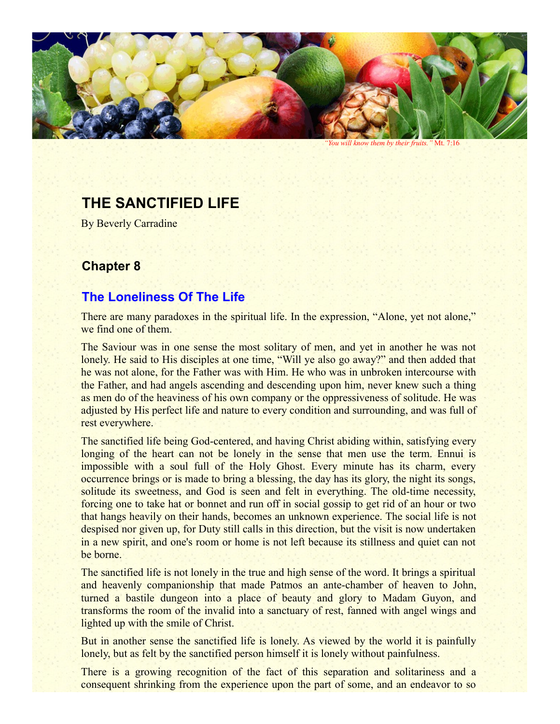

*"You will know them by their fruits."* Mt. 7:16

## **THE SANCTIFIED LIFE**

By Beverly Carradine

## **Chapter 8**

## **The Loneliness Of The Life**

There are many paradoxes in the spiritual life. In the expression, "Alone, yet not alone," we find one of them.

The Saviour was in one sense the most solitary of men, and yet in another he was not lonely. He said to His disciples at one time, "Will ye also go away?" and then added that he was not alone, for the Father was with Him. He who was in unbroken intercourse with the Father, and had angels ascending and descending upon him, never knew such a thing as men do of the heaviness of his own company or the oppressiveness of solitude. He was adjusted by His perfect life and nature to every condition and surrounding, and was full of rest everywhere.

The sanctified life being God-centered, and having Christ abiding within, satisfying every longing of the heart can not be lonely in the sense that men use the term. Ennui is impossible with a soul full of the Holy Ghost. Every minute has its charm, every occurrence brings or is made to bring a blessing, the day has its glory, the night its songs, solitude its sweetness, and God is seen and felt in everything. The old-time necessity, forcing one to take hat or bonnet and run off in social gossip to get rid of an hour or two that hangs heavily on their hands, becomes an unknown experience. The social life is not despised nor given up, for Duty still calls in this direction, but the visit is now undertaken in a new spirit, and one's room or home is not left because its stillness and quiet can not be borne.

The sanctified life is not lonely in the true and high sense of the word. It brings a spiritual and heavenly companionship that made Patmos an ante-chamber of heaven to John, turned a bastile dungeon into a place of beauty and glory to Madam Guyon, and transforms the room of the invalid into a sanctuary of rest, fanned with angel wings and lighted up with the smile of Christ.

But in another sense the sanctified life is lonely. As viewed by the world it is painfully lonely, but as felt by the sanctified person himself it is lonely without painfulness.

There is a growing recognition of the fact of this separation and solitariness and a consequent shrinking from the experience upon the part of some, and an endeavor to so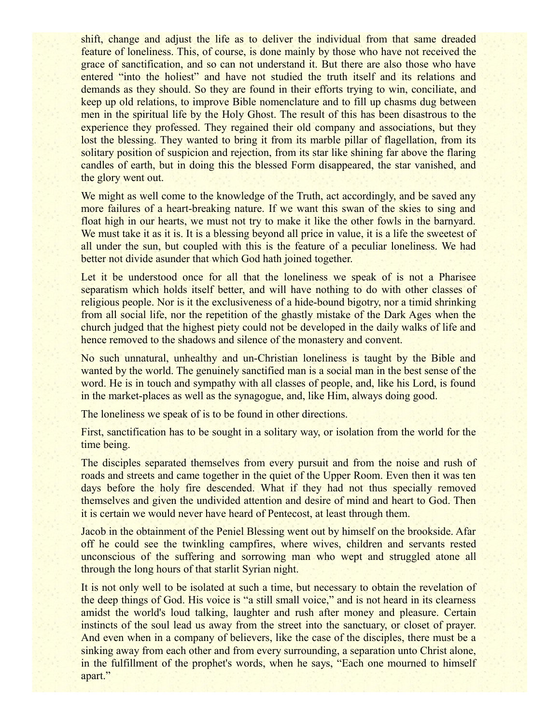shift, change and adjust the life as to deliver the individual from that same dreaded feature of loneliness. This, of course, is done mainly by those who have not received the grace of sanctification, and so can not understand it. But there are also those who have entered "into the holiest" and have not studied the truth itself and its relations and demands as they should. So they are found in their efforts trying to win, conciliate, and keep up old relations, to improve Bible nomenclature and to fill up chasms dug between men in the spiritual life by the Holy Ghost. The result of this has been disastrous to the experience they professed. They regained their old company and associations, but they lost the blessing. They wanted to bring it from its marble pillar of flagellation, from its solitary position of suspicion and rejection, from its star like shining far above the flaring candles of earth, but in doing this the blessed Form disappeared, the star vanished, and the glory went out.

We might as well come to the knowledge of the Truth, act accordingly, and be saved any more failures of a heart-breaking nature. If we want this swan of the skies to sing and float high in our hearts, we must not try to make it like the other fowls in the barnyard. We must take it as it is. It is a blessing beyond all price in value, it is a life the sweetest of all under the sun, but coupled with this is the feature of a peculiar loneliness. We had better not divide asunder that which God hath joined together.

Let it be understood once for all that the loneliness we speak of is not a Pharisee separatism which holds itself better, and will have nothing to do with other classes of religious people. Nor is it the exclusiveness of a hide-bound bigotry, nor a timid shrinking from all social life, nor the repetition of the ghastly mistake of the Dark Ages when the church judged that the highest piety could not be developed in the daily walks of life and hence removed to the shadows and silence of the monastery and convent.

No such unnatural, unhealthy and un-Christian loneliness is taught by the Bible and wanted by the world. The genuinely sanctified man is a social man in the best sense of the word. He is in touch and sympathy with all classes of people, and, like his Lord, is found in the market-places as well as the synagogue, and, like Him, always doing good.

The loneliness we speak of is to be found in other directions.

First, sanctification has to be sought in a solitary way, or isolation from the world for the time being.

The disciples separated themselves from every pursuit and from the noise and rush of roads and streets and came together in the quiet of the Upper Room. Even then it was ten days before the holy fire descended. What if they had not thus specially removed themselves and given the undivided attention and desire of mind and heart to God. Then it is certain we would never have heard of Pentecost, at least through them.

Jacob in the obtainment of the Peniel Blessing went out by himself on the brookside. Afar off he could see the twinkling campfires, where wives, children and servants rested unconscious of the suffering and sorrowing man who wept and struggled atone all through the long hours of that starlit Syrian night.

It is not only well to be isolated at such a time, but necessary to obtain the revelation of the deep things of God. His voice is "a still small voice," and is not heard in its clearness amidst the world's loud talking, laughter and rush after money and pleasure. Certain instincts of the soul lead us away from the street into the sanctuary, or closet of prayer. And even when in a company of believers, like the case of the disciples, there must be a sinking away from each other and from every surrounding, a separation unto Christ alone, in the fulfillment of the prophet's words, when he says, "Each one mourned to himself apart."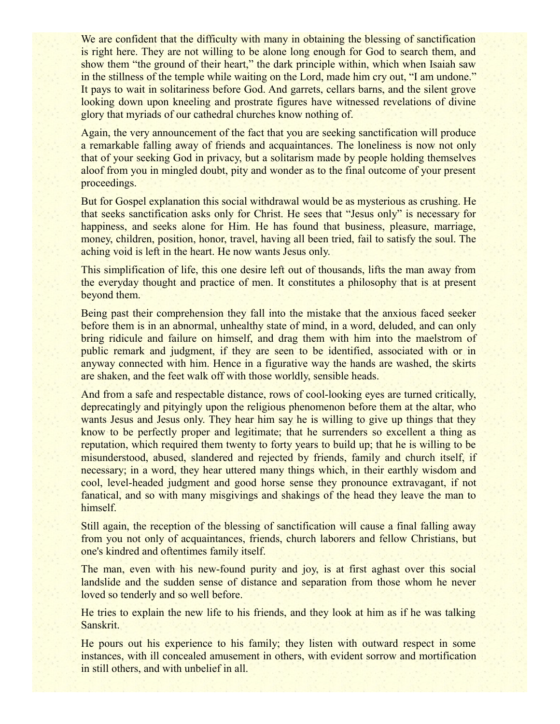We are confident that the difficulty with many in obtaining the blessing of sanctification is right here. They are not willing to be alone long enough for God to search them, and show them "the ground of their heart," the dark principle within, which when Isaiah saw in the stillness of the temple while waiting on the Lord, made him cry out, "I am undone." It pays to wait in solitariness before God. And garrets, cellars barns, and the silent grove looking down upon kneeling and prostrate figures have witnessed revelations of divine glory that myriads of our cathedral churches know nothing of.

Again, the very announcement of the fact that you are seeking sanctification will produce a remarkable falling away of friends and acquaintances. The loneliness is now not only that of your seeking God in privacy, but a solitarism made by people holding themselves aloof from you in mingled doubt, pity and wonder as to the final outcome of your present proceedings.

But for Gospel explanation this social withdrawal would be as mysterious as crushing. He that seeks sanctification asks only for Christ. He sees that "Jesus only" is necessary for happiness, and seeks alone for Him. He has found that business, pleasure, marriage, money, children, position, honor, travel, having all been tried, fail to satisfy the soul. The aching void is left in the heart. He now wants Jesus only.

This simplification of life, this one desire left out of thousands, lifts the man away from the everyday thought and practice of men. It constitutes a philosophy that is at present beyond them.

Being past their comprehension they fall into the mistake that the anxious faced seeker before them is in an abnormal, unhealthy state of mind, in a word, deluded, and can only bring ridicule and failure on himself, and drag them with him into the maelstrom of public remark and judgment, if they are seen to be identified, associated with or in anyway connected with him. Hence in a figurative way the hands are washed, the skirts are shaken, and the feet walk off with those worldly, sensible heads.

And from a safe and respectable distance, rows of cool-looking eyes are turned critically, deprecatingly and pityingly upon the religious phenomenon before them at the altar, who wants Jesus and Jesus only. They hear him say he is willing to give up things that they know to be perfectly proper and legitimate; that he surrenders so excellent a thing as reputation, which required them twenty to forty years to build up; that he is willing to be misunderstood, abused, slandered and rejected by friends, family and church itself, if necessary; in a word, they hear uttered many things which, in their earthly wisdom and cool, level-headed judgment and good horse sense they pronounce extravagant, if not fanatical, and so with many misgivings and shakings of the head they leave the man to himself.

Still again, the reception of the blessing of sanctification will cause a final falling away from you not only of acquaintances, friends, church laborers and fellow Christians, but one's kindred and oftentimes family itself.

The man, even with his new-found purity and joy, is at first aghast over this social landslide and the sudden sense of distance and separation from those whom he never loved so tenderly and so well before.

He tries to explain the new life to his friends, and they look at him as if he was talking Sanskrit.

He pours out his experience to his family; they listen with outward respect in some instances, with ill concealed amusement in others, with evident sorrow and mortification in still others, and with unbelief in all.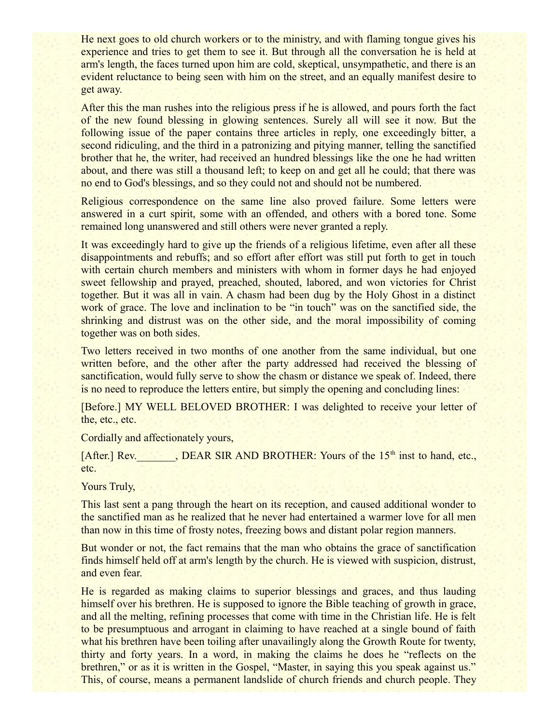He next goes to old church workers or to the ministry, and with flaming tongue gives his experience and tries to get them to see it. But through all the conversation he is held at arm's length, the faces turned upon him are cold, skeptical, unsympathetic, and there is an evident reluctance to being seen with him on the street, and an equally manifest desire to get away.

After this the man rushes into the religious press if he is allowed, and pours forth the fact of the new found blessing in glowing sentences. Surely all will see it now. But the following issue of the paper contains three articles in reply, one exceedingly bitter, a second ridiculing, and the third in a patronizing and pitying manner, telling the sanctified brother that he, the writer, had received an hundred blessings like the one he had written about, and there was still a thousand left; to keep on and get all he could; that there was no end to God's blessings, and so they could not and should not be numbered.

Religious correspondence on the same line also proved failure. Some letters were answered in a curt spirit, some with an offended, and others with a bored tone. Some remained long unanswered and still others were never granted a reply.

It was exceedingly hard to give up the friends of a religious lifetime, even after all these disappointments and rebuffs; and so effort after effort was still put forth to get in touch with certain church members and ministers with whom in former days he had enjoyed sweet fellowship and prayed, preached, shouted, labored, and won victories for Christ together. But it was all in vain. A chasm had been dug by the Holy Ghost in a distinct work of grace. The love and inclination to be "in touch" was on the sanctified side, the shrinking and distrust was on the other side, and the moral impossibility of coming together was on both sides.

Two letters received in two months of one another from the same individual, but one written before, and the other after the party addressed had received the blessing of sanctification, would fully serve to show the chasm or distance we speak of. Indeed, there is no need to reproduce the letters entire, but simply the opening and concluding lines:

[Before.] MY WELL BELOVED BROTHER: I was delighted to receive your letter of the, etc., etc.

Cordially and affectionately yours,

[After.] Rev.  $DEAR SIR AND BROTHER: Yours of the 15<sup>th</sup> inst to hand, etc.,$ etc.

Yours Truly,

This last sent a pang through the heart on its reception, and caused additional wonder to the sanctified man as he realized that he never had entertained a warmer love for all men than now in this time of frosty notes, freezing bows and distant polar region manners.

But wonder or not, the fact remains that the man who obtains the grace of sanctification finds himself held off at arm's length by the church. He is viewed with suspicion, distrust, and even fear.

He is regarded as making claims to superior blessings and graces, and thus lauding himself over his brethren. He is supposed to ignore the Bible teaching of growth in grace, and all the melting, refining processes that come with time in the Christian life. He is felt to be presumptuous and arrogant in claiming to have reached at a single bound of faith what his brethren have been toiling after unavailingly along the Growth Route for twenty, thirty and forty years. In a word, in making the claims he does he "reflects on the brethren," or as it is written in the Gospel, "Master, in saying this you speak against us." This, of course, means a permanent landslide of church friends and church people. They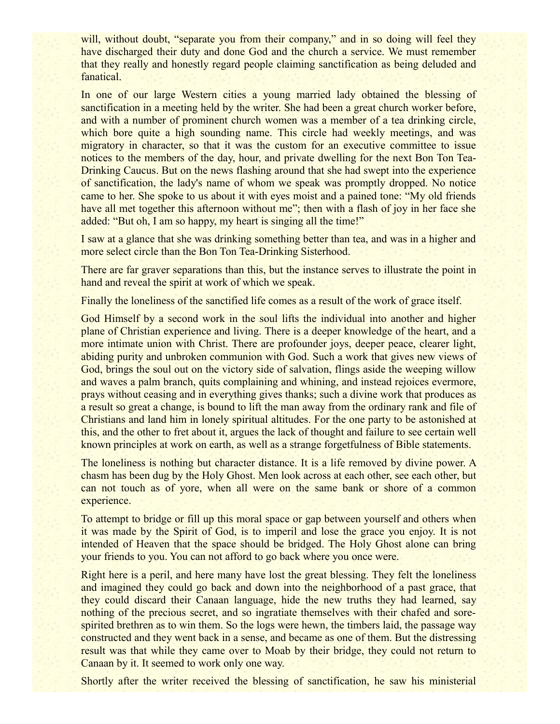will, without doubt, "separate you from their company," and in so doing will feel they have discharged their duty and done God and the church a service. We must remember that they really and honestly regard people claiming sanctification as being deluded and fanatical.

In one of our large Western cities a young married lady obtained the blessing of sanctification in a meeting held by the writer. She had been a great church worker before, and with a number of prominent church women was a member of a tea drinking circle, which bore quite a high sounding name. This circle had weekly meetings, and was migratory in character, so that it was the custom for an executive committee to issue notices to the members of the day, hour, and private dwelling for the next Bon Ton Tea-Drinking Caucus. But on the news flashing around that she had swept into the experience of sanctification, the lady's name of whom we speak was promptly dropped. No notice came to her. She spoke to us about it with eyes moist and a pained tone: "My old friends have all met together this afternoon without me"; then with a flash of joy in her face she added: "But oh, I am so happy, my heart is singing all the time!"

I saw at a glance that she was drinking something better than tea, and was in a higher and more select circle than the Bon Ton Tea-Drinking Sisterhood.

There are far graver separations than this, but the instance serves to illustrate the point in hand and reveal the spirit at work of which we speak.

Finally the loneliness of the sanctified life comes as a result of the work of grace itself.

God Himself by a second work in the soul lifts the individual into another and higher plane of Christian experience and living. There is a deeper knowledge of the heart, and a more intimate union with Christ. There are profounder joys, deeper peace, clearer light, abiding purity and unbroken communion with God. Such a work that gives new views of God, brings the soul out on the victory side of salvation, flings aside the weeping willow and waves a palm branch, quits complaining and whining, and instead rejoices evermore, prays without ceasing and in everything gives thanks; such a divine work that produces as a result so great a change, is bound to lift the man away from the ordinary rank and file of Christians and land him in lonely spiritual altitudes. For the one party to be astonished at this, and the other to fret about it, argues the lack of thought and failure to see certain well known principles at work on earth, as well as a strange forgetfulness of Bible statements.

The loneliness is nothing but character distance. It is a life removed by divine power. A chasm has been dug by the Holy Ghost. Men look across at each other, see each other, but can not touch as of yore, when all were on the same bank or shore of a common experience.

To attempt to bridge or fill up this moral space or gap between yourself and others when it was made by the Spirit of God, is to imperil and lose the grace you enjoy. It is not intended of Heaven that the space should be bridged. The Holy Ghost alone can bring your friends to you. You can not afford to go back where you once were.

Right here is a peril, and here many have lost the great blessing. They felt the loneliness and imagined they could go back and down into the neighborhood of a past grace, that they could discard their Canaan language, hide the new truths they had learned, say nothing of the precious secret, and so ingratiate themselves with their chafed and sorespirited brethren as to win them. So the logs were hewn, the timbers laid, the passage way constructed and they went back in a sense, and became as one of them. But the distressing result was that while they came over to Moab by their bridge, they could not return to Canaan by it. It seemed to work only one way.

Shortly after the writer received the blessing of sanctification, he saw his ministerial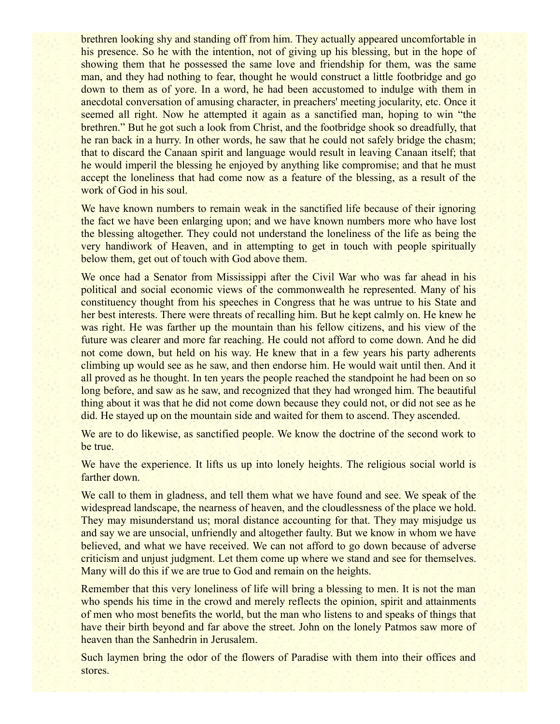brethren looking shy and standing off from him. They actually appeared uncomfortable in his presence. So he with the intention, not of giving up his blessing, but in the hope of showing them that he possessed the same love and friendship for them, was the same man, and they had nothing to fear, thought he would construct a little footbridge and go down to them as of yore. In a word, he had been accustomed to indulge with them in anecdotal conversation of amusing character, in preachers' meeting jocularity, etc. Once it seemed all right. Now he attempted it again as a sanctified man, hoping to win "the brethren." But he got such a look from Christ, and the footbridge shook so dreadfully, that he ran back in a hurry. In other words, he saw that he could not safely bridge the chasm; that to discard the Canaan spirit and language would result in leaving Canaan itself; that he would imperil the blessing he enjoyed by anything like compromise; and that he must accept the loneliness that had come now as a feature of the blessing, as a result of the work of God in his soul.

We have known numbers to remain weak in the sanctified life because of their ignoring the fact we have been enlarging upon; and we have known numbers more who have lost the blessing altogether. They could not understand the loneliness of the life as being the very handiwork of Heaven, and in attempting to get in touch with people spiritually below them, get out of touch with God above them.

We once had a Senator from Mississippi after the Civil War who was far ahead in his political and social economic views of the commonwealth he represented. Many of his constituency thought from his speeches in Congress that he was untrue to his State and her best interests. There were threats of recalling him. But he kept calmly on. He knew he was right. He was farther up the mountain than his fellow citizens, and his view of the future was clearer and more far reaching. He could not afford to come down. And he did not come down, but held on his way. He knew that in a few years his party adherents climbing up would see as he saw, and then endorse him. He would wait until then. And it all proved as he thought. In ten years the people reached the standpoint he had been on so long before, and saw as he saw, and recognized that they had wronged him. The beautiful thing about it was that he did not come down because they could not, or did not see as he did. He stayed up on the mountain side and waited for them to ascend. They ascended.

We are to do likewise, as sanctified people. We know the doctrine of the second work to be true.

We have the experience. It lifts us up into lonely heights. The religious social world is farther down.

We call to them in gladness, and tell them what we have found and see. We speak of the widespread landscape, the nearness of heaven, and the cloudlessness of the place we hold. They may misunderstand us; moral distance accounting for that. They may misjudge us and say we are unsocial, unfriendly and altogether faulty. But we know in whom we have believed, and what we have received. We can not afford to go down because of adverse criticism and unjust judgment. Let them come up where we stand and see for themselves. Many will do this if we are true to God and remain on the heights.

Remember that this very loneliness of life will bring a blessing to men. It is not the man who spends his time in the crowd and merely reflects the opinion, spirit and attainments of men who most benefits the world, but the man who listens to and speaks of things that have their birth beyond and far above the street. John on the lonely Patmos saw more of heaven than the Sanhedrin in Jerusalem.

Such laymen bring the odor of the flowers of Paradise with them into their offices and stores.